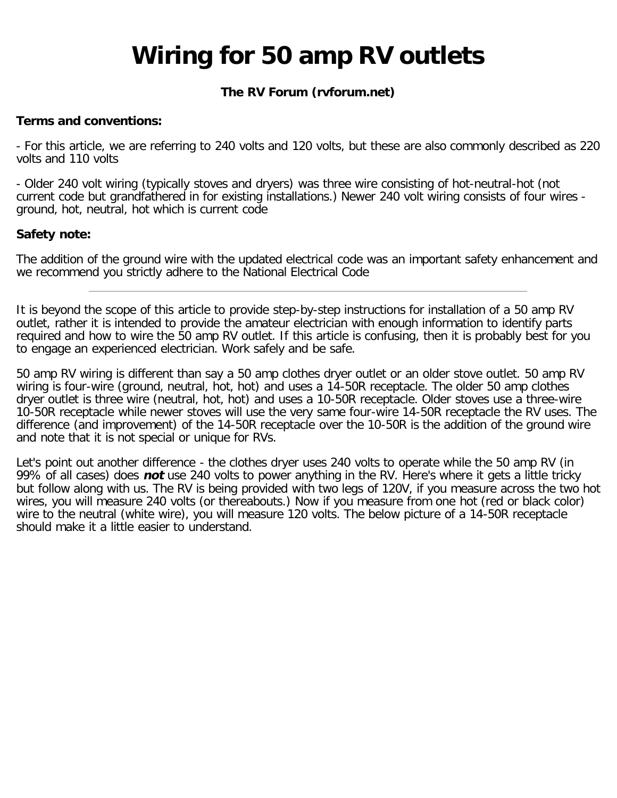# **Wiring for 50 amp RV outlets**

## **The RV Forum (rvforum.net)**

#### **Terms and conventions:**

- For this article, we are referring to 240 volts and 120 volts, but these are also commonly described as 220 volts and 110 volts

- Older 240 volt wiring (typically stoves and dryers) was three wire consisting of hot-neutral-hot (not current code but grandfathered in for existing installations.) Newer 240 volt wiring consists of four wires ground, hot, neutral, hot which is current code

#### **Safety note:**

The addition of the ground wire with the updated electrical code was an important safety enhancement and we recommend you strictly adhere to the National Electrical Code

It is beyond the scope of this article to provide step-by-step instructions for installation of a 50 amp RV outlet, rather it is intended to provide the amateur electrician with enough information to identify parts required and how to wire the 50 amp RV outlet. If this article is confusing, then it is probably best for you to engage an experienced electrician. Work safely and be safe.

50 amp RV wiring is different than say a 50 amp clothes dryer outlet or an older stove outlet. 50 amp RV wiring is four-wire (ground, neutral, hot, hot) and uses a 14-50R receptacle. The older 50 amp clothes dryer outlet is three wire (neutral, hot, hot) and uses a 10-50R receptacle. Older stoves use a three-wire 10-50R receptacle while newer stoves will use the very same four-wire 14-50R receptacle the RV uses. The difference (and improvement) of the 14-50R receptacle over the 10-50R is the addition of the ground wire and note that it is not special or unique for RVs.

Let's point out another difference - the clothes dryer uses 240 volts to operate while the 50 amp RV (in 99% of all cases) does **not** use 240 volts to power anything in the RV. Here's where it gets a little tricky but follow along with us. The RV is being provided with two legs of 120V, if you measure across the two hot wires, you will measure 240 volts (or thereabouts.) Now if you measure from one hot (red or black color) wire to the neutral (white wire), you will measure 120 volts. The below picture of a 14-50R receptacle should make it a little easier to understand.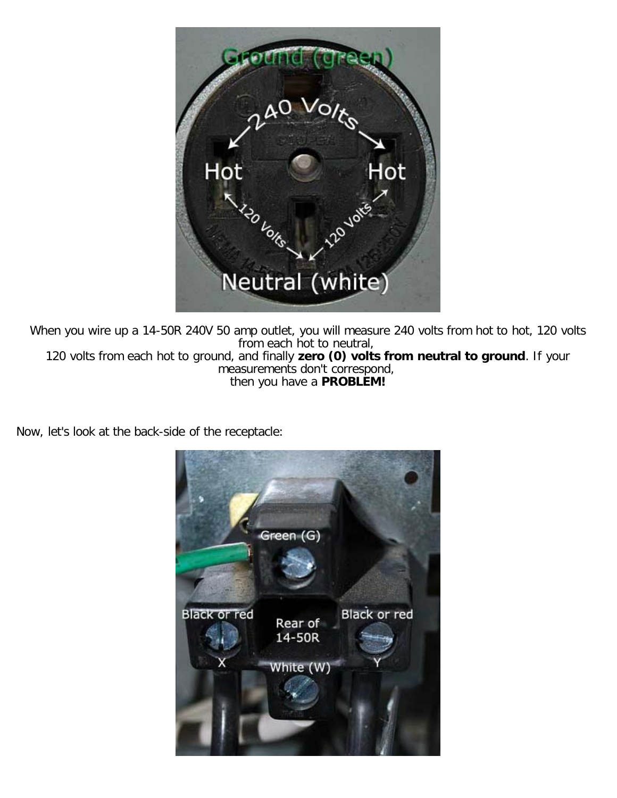AO VOIL Hot Hot **La Volte** Neutral (white)

When you wire up a 14-50R 240V 50 amp outlet, you will measure 240 volts from hot to hot, 120 volts from each hot to neutral, 120 volts from each hot to ground, and finally **zero (0) volts from neutral to ground**. If your measurements don't correspond, then you have a **PROBLEM!**

Now, let's look at the back-side of the receptacle:

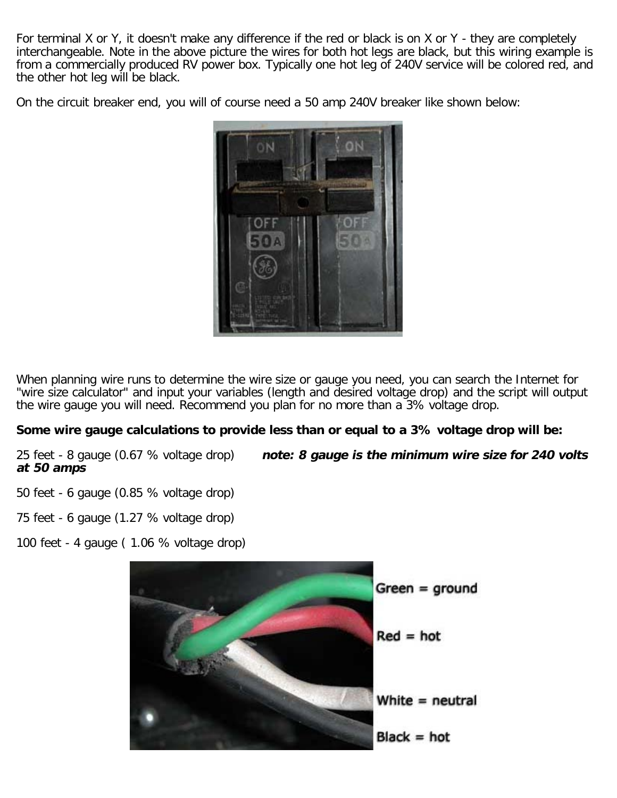For terminal X or Y, it doesn't make any difference if the red or black is on X or Y - they are completely interchangeable. Note in the above picture the wires for both hot legs are black, but this wiring example is from a commercially produced RV power box. Typically one hot leg of 240V service will be colored red, and the other hot leg will be black.

On the circuit breaker end, you will of course need a 50 amp 240V breaker like shown below:



When planning wire runs to determine the wire size or gauge you need, you can search the Internet for "wire size calculator" and input your variables (length and desired voltage drop) and the script will output the wire gauge you will need. Recommend you plan for no more than a 3% voltage drop.

### **Some wire gauge calculations to provide less than or equal to a 3% voltage drop will be:**

25 feet - 8 gauge (0.67 % voltage drop) **note: 8 gauge is the minimum wire size for 240 volts at 50 amps**

50 feet - 6 gauge (0.85 % voltage drop)

75 feet - 6 gauge (1.27 % voltage drop)

100 feet - 4 gauge ( 1.06 % voltage drop)